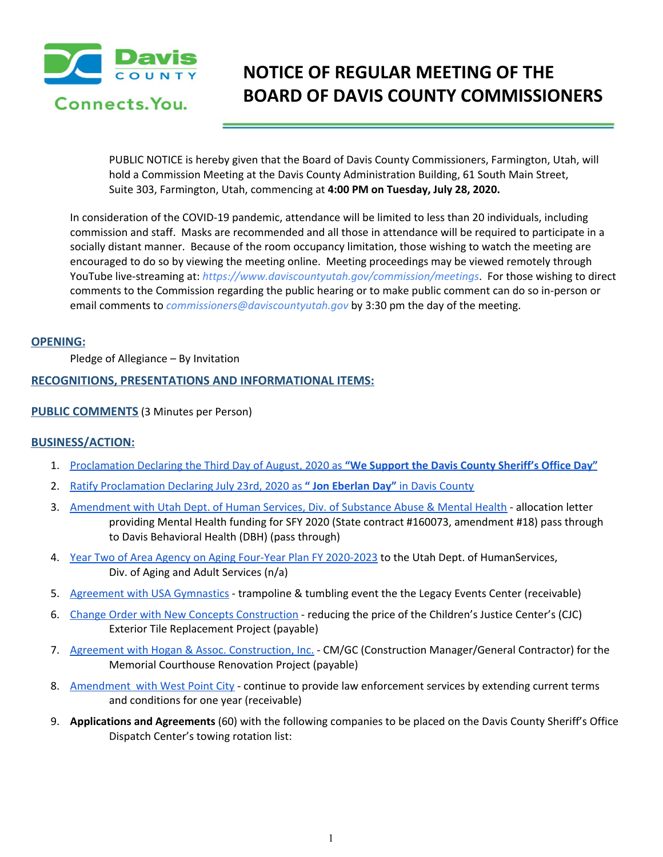

# **NOTICE OF REGULAR MEETING OF THE BOARD OF DAVIS COUNTY COMMISSIONERS**

PUBLIC NOTICE is hereby given that the Board of Davis County Commissioners, Farmington, Utah, will hold a Commission Meeting at the Davis County Administration Building, 61 South Main Street, Suite 303, Farmington, Utah, commencing at **4:00 PM on Tuesday, July 28, 2020.**

In consideration of the COVID-19 pandemic, attendance will be limited to less than 20 individuals, including commission and staff. Masks are recommended and all those in attendance will be required to participate in a socially distant manner. Because of the room occupancy limitation, those wishing to watch the meeting are encouraged to do so by viewing the meeting online. Meeting proceedings may be viewed remotely through YouTube live-streaming at: *https://www.daviscountyutah.gov/commission/meetings*. For those wishing to direct comments to the Commission regarding the public hearing or to make public comment can do so in-person or email comments to *commissioners@daviscountyutah.gov* by 3:30 pm the day of the meeting.

# **OPENING:**

Pledge of Allegiance – By Invitation

# **RECOGNITIONS, PRESENTATIONS AND INFORMATIONAL ITEMS:**

# **PUBLIC COMMENTS** (3 Minutes per Person)

# **BUSINESS/ACTION:**

- 1. [Proclamation](https://drive.google.com/file/d/1iEQaPddxhC_8pzcAyezaK9jJFO0u5PfP/view?usp=drivesdk) Declaring the Third Day of August, 2020 as **"We Support the Davis County [Sheriff's](https://drive.google.com/file/d/1iEQaPddxhC_8pzcAyezaK9jJFO0u5PfP/view?usp=drivesdk) Office Day"**
- 2. Ratify [Proclamation](https://drive.google.com/file/d/1p139l_iY4p5SOSzMXP7klpUf7SdILli3/view?usp=drivesdk) Declaring July 23rd, 2020 as **" Jon [Eberlan](https://drive.google.com/file/d/1p139l_iY4p5SOSzMXP7klpUf7SdILli3/view?usp=drivesdk) Day"** in Davis [County](https://drive.google.com/file/d/1p139l_iY4p5SOSzMXP7klpUf7SdILli3/view?usp=drivesdk)
- 3. [Amendment](https://drive.google.com/file/d/1Hrw2_E3sPODxfNQC1iPgjmASME3t4Kc8/view?usp=drivesdk) with Utah Dept. of Human Services, Div. of Substance Abuse & Mental Health allocation letter providing Mental Health funding for SFY 2020 (State contract #160073, amendment #18) pass through to Davis Behavioral Health (DBH) (pass through)
- 4. Year Two of Area Agency on Aging Four-Year Plan FY [2020-2023](https://drive.google.com/file/d/11iIBLve71eit2IJp_XbNuqvbJkuUNXAB/view?usp=drivesdk) to the Utah Dept. of HumanServices, Div. of Aging and Adult Services (n/a)
- 5. Agreement with USA [Gymnastics](https://drive.google.com/file/d/1R8_1MQbh5H3heS44L8e_jNfYXha4B0m2/view?usp=drivesdk) trampoline & tumbling event the the Legacy Events Center (receivable)
- 6. Change Order with New Concepts [Construction](https://drive.google.com/file/d/1LPXzxyXf6CvlSRchFqB8qE1wvvK1qZ1C/view?usp=drivesdk) reducing the price of the Children's Justice Center's (CJC) Exterior Tile Replacement Project (payable)
- 7. Agreement with Hogan & Assoc. [Construction,](https://drive.google.com/file/d/12Icsm2gGWYCmJLuUVbCJOseRjyxYdOdR/view?usp=drivesdk) Inc. CM/GC (Construction Manager/General Contractor) for the Memorial Courthouse Renovation Project (payable)
- 8. [Amendment](https://drive.google.com/file/d/17M1uNGKdGEMT_NDHb3tsknGcbQXFgcGB/view?usp=drivesdk) with West Point City continue to provide law enforcement services by extending current terms and conditions for one year (receivable)
- 9. **Applications and Agreements** (60) with the following companies to be placed on the Davis County Sheriff's Office Dispatch Center's towing rotation list: